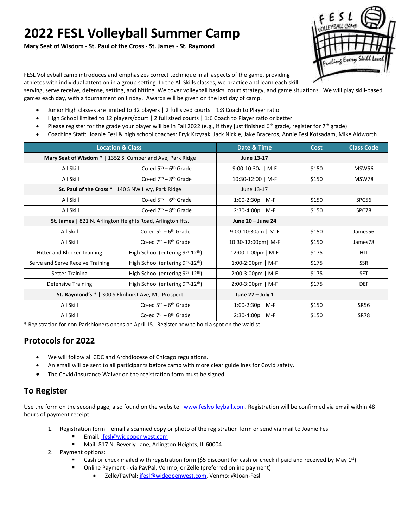# **2022 FESL Volleyball Summer Camp**

**Mary Seat of Wisdom - St. Paul of the Cross - St. James - St. Raymond**



FESL Volleyball camp introduces and emphasizes correct technique in all aspects of the game, providing

athletes with individual attention in a group setting. In the All Skills classes, we practice and learn each skill:

serving, serve receive, defense, setting, and hitting. We cover volleyball basics, court strategy, and game situations. We will play skill-based games each day, with a tournament on Friday. Awards will be given on the last day of camp.

- Junior High classes are limited to 32 players | 2 full sized courts | 1:8 Coach to Player ratio
- High School limited to 12 players/court | 2 full sized courts | 1:6 Coach to Player ratio or better
- Please register for the grade your player will be in Fall 2022 (e.g., if they just finished 6<sup>th</sup> grade, register for 7<sup>th</sup> grade)
- Coaching Staff: Joanie Fesl & high school coaches: Eryk Krzyzak, Jack Nickle, Jake Braceros, Annie Fesl Kotsadam, Mike Aldworth

| <b>Location &amp; Class</b>                                |                                                           | Date & Time           | Cost  | <b>Class Code</b> |
|------------------------------------------------------------|-----------------------------------------------------------|-----------------------|-------|-------------------|
| Mary Seat of Wisdom *   1352 S. Cumberland Ave, Park Ridge |                                                           | June 13-17            |       |                   |
| All Skill                                                  | Co-ed $5th - 6th$ Grade                                   | 9:00-10:30a   M-F     | \$150 | MSW56             |
| All Skill                                                  | Co-ed $7th - 8th$ Grade                                   | 10:30-12:00   M-F     | \$150 | MSW78             |
| St. Paul of the Cross *   140 S NW Hwy, Park Ridge         |                                                           | June 13-17            |       |                   |
| All Skill                                                  | Co-ed $5th - 6th$ Grade                                   | $1:00-2:30p$   M-F    | \$150 | SPC56             |
| All Skill                                                  | Co-ed $7th - 8th$ Grade                                   | $2:30-4:00p$   M-F    | \$150 | SPC78             |
| St. James   821 N. Arlington Heights Road, Arlington Hts.  |                                                           | June 20 - June 24     |       |                   |
| All Skill                                                  | Co-ed $5th - 6th$ Grade                                   | $9:00-10:30$ am   M-F | \$150 | James56           |
| All Skill                                                  | Co-ed $7th - 8th$ Grade                                   | 10:30-12:00pm   M-F   | \$150 | James78           |
| <b>Hitter and Blocker Training</b>                         | High School (entering 9 <sup>th</sup> -12 <sup>th</sup> ) | 12:00-1:00pm   M-F    | \$175 | <b>HIT</b>        |
| Serve and Serve Receive Training                           | High School (entering 9 <sup>th</sup> -12 <sup>th</sup> ) | 1:00-2:00pm   M-F     | \$175 | <b>SSR</b>        |
| <b>Setter Training</b>                                     | High School (entering 9 <sup>th</sup> -12 <sup>th</sup> ) | $2:00-3:00$ pm   M-F  | \$175 | <b>SET</b>        |
| <b>Defensive Training</b>                                  | High School (entering 9 <sup>th</sup> -12 <sup>th</sup> ) | 2:00-3:00pm   M-F     | \$175 | <b>DEF</b>        |
| <b>St. Raymond's *</b>   300 S Elmhurst Ave, Mt. Prospect  |                                                           | June $27 -$ July 1    |       |                   |
| All Skill                                                  | Co-ed $5th - 6th$ Grade                                   | $1:00-2:30p$   M-F    | \$150 | <b>SR56</b>       |
| All Skill                                                  | Co-ed $7th - 8th$ Grade                                   | $2:30-4:00p$   M-F    | \$150 | <b>SR78</b>       |

\* Registration for non-Parishioners opens on April 15. Register now to hold a spot on the waitlist.

### **Protocols for 2022**

- We will follow all CDC and Archdiocese of Chicago regulations.
- An email will be sent to all participants before camp with more clear guidelines for Covid safety.
- The Covid/Insurance Waiver on the registration form must be signed.

### **To Register**

Use the form on the second page, also found on the website: [www.feslvolleyball.com.](http://www.feslvolleyball.com/) Registration will be confirmed via email within 48 hours of payment receipt.

- 1. Registration form email a scanned copy or photo of the registration form or send via mail to Joanie Fesl
	- Email: [jfesl@wideopenwest.com](mailto:jfesl@wideopenwest.com)
	- Mail: 817 N. Beverly Lane, Arlington Heights, IL 60004
- 2. Payment options:
	- Cash or check mailed with registration form (\$5 discount for cash or check if paid and received by May 1<sup>st</sup>)
		- Online Payment via PayPal, Venmo, or Zelle (preferred online payment)
			- Zelle/PayPal: [jfesl@wideopenwest.com,](mailto:jfesl@wideopenwest.com) Venmo: @Joan-Fesl